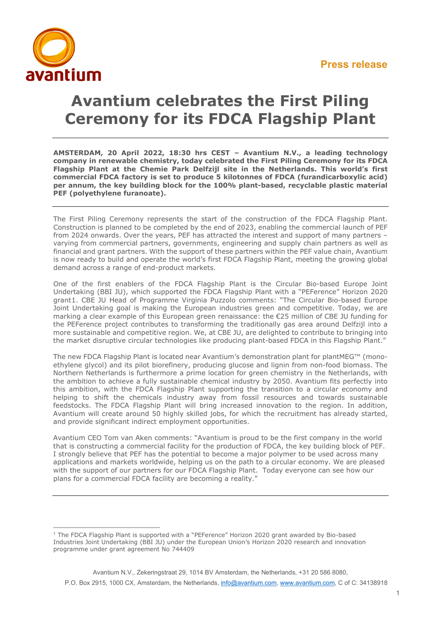

## **Avantium celebrates the First Piling Ceremony for its FDCA Flagship Plant**

**AMSTERDAM, 20 April 2022, 18:30 hrs CEST – Avantium N.V., a leading technology company in renewable chemistry, today celebrated the First Piling Ceremony for its FDCA Flagship Plant at the Chemie Park Delfzijl site in the Netherlands. This world's first commercial FDCA factory is set to produce 5 kilotonnes of FDCA (furandicarboxylic acid) per annum, the key building block for the 100% plant-based, recyclable plastic material PEF (polyethylene furanoate).** 

The First Piling Ceremony represents the start of the construction of the FDCA Flagship Plant. Construction is planned to be completed by the end of 2023, enabling the commercial launch of PEF from 2024 onwards. Over the years, PEF has attracted the interest and support of many partners – varying from commercial partners, governments, engineering and supply chain partners as well as financial and grant partners. With the support of these partners within the PEF value chain, Avantium is now ready to build and operate the world's first FDCA Flagship Plant, meeting the growing global demand across a range of end-product markets.

One of the first enablers of the FDCA Flagship Plant is the Circular Bio-based Europe Joint Undertaking (BBI JU), which supported the FDCA Flagship Plant with a "PEFerence" Horizon 2020 grant[1](#page-0-0). CBE JU Head of Programme Virginia Puzzolo comments: "The Circular Bio-based Europe Joint Undertaking goal is making the European industries green and competitive. Today, we are marking a clear example of this European green renaissance: the €25 million of CBE JU funding for the PEFerence project contributes to transforming the traditionally gas area around Delfzijl into a more sustainable and competitive region. We, at CBE JU, are delighted to contribute to bringing into the market disruptive circular technologies like producing plant-based FDCA in this Flagship Plant."

The new FDCA Flagship Plant is located near Avantium's demonstration plant for plantMEG™ (monoethylene glycol) and its pilot biorefinery, producing glucose and lignin from non-food biomass. The Northern Netherlands is furthermore a prime location for green chemistry in the Netherlands, with the ambition to achieve a fully sustainable chemical industry by 2050. Avantium fits perfectly into this ambition, with the FDCA Flagship Plant supporting the transition to a circular economy and helping to shift the chemicals industry away from fossil resources and towards sustainable feedstocks. The FDCA Flagship Plant will bring increased innovation to the region. In addition, Avantium will create around 50 highly skilled jobs, for which the recruitment has already started, and provide significant indirect employment opportunities.

Avantium CEO Tom van Aken comments: "Avantium is proud to be the first company in the world that is constructing a commercial facility for the production of FDCA, the key building block of PEF. I strongly believe that PEF has the potential to become a major polymer to be used across many applications and markets worldwide, helping us on the path to a circular economy. We are pleased with the support of our partners for our FDCA Flagship Plant. Today everyone can see how our plans for a commercial FDCA facility are becoming a reality."

<span id="page-0-0"></span><sup>&</sup>lt;sup>1</sup> The FDCA Flagship Plant is supported with a "PEFerence" Horizon 2020 grant awarded by Bio-based Industries Joint Undertaking (BBI JU) under the European Union's Horizon 2020 research and innovation programme under grant agreement No 744409